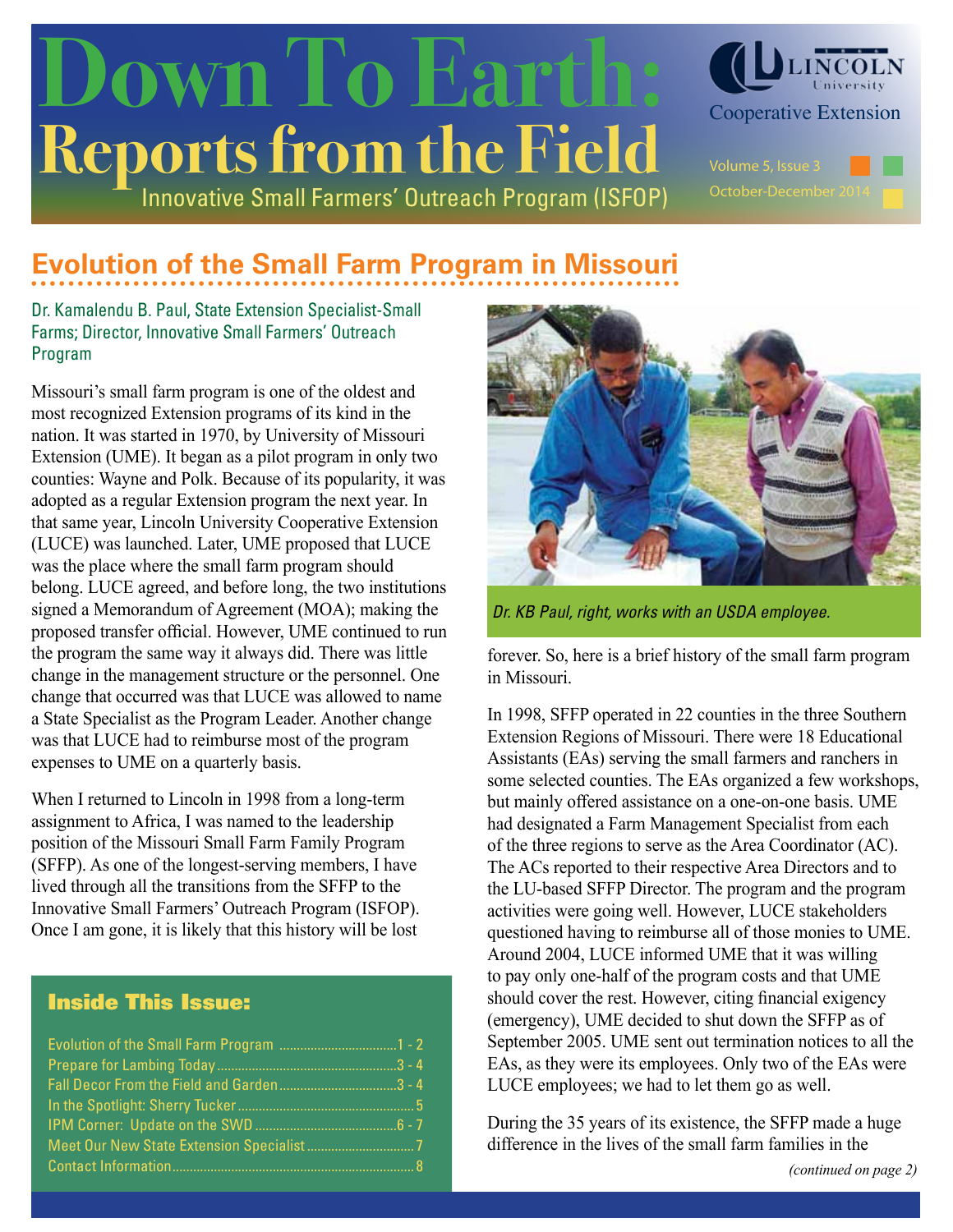# Innovative Small Farmers' Outreach Program (ISFOP) **Reports from the Field** OWN To Earth: CLINCOLN



### **Evolution of the Small Farm Program in Missouri**

Dr. Kamalendu B. Paul, State Extension Specialist-Small Farms; Director, Innovative Small Farmers' Outreach Program

Missouri's small farm program is one of the oldest and most recognized Extension programs of its kind in the nation. It was started in 1970, by University of Missouri Extension (UME). It began as a pilot program in only two counties: Wayne and Polk. Because of its popularity, it was adopted as a regular Extension program the next year. In that same year, Lincoln University Cooperative Extension (LUCE) was launched. Later, UME proposed that LUCE was the place where the small farm program should belong. LUCE agreed, and before long, the two institutions signed a Memorandum of Agreement (MOA); making the proposed transfer official. However, UME continued to run the program the same way it always did. There was little change in the management structure or the personnel. One change that occurred was that LUCE was allowed to name a State Specialist as the Program Leader. Another change was that LUCE had to reimburse most of the program expenses to UME on a quarterly basis.

When I returned to Lincoln in 1998 from a long-term assignment to Africa, I was named to the leadership position of the Missouri Small Farm Family Program (SFFP). As one of the longest-serving members, I have lived through all the transitions from the SFFP to the Innovative Small Farmers' Outreach Program (ISFOP). Once I am gone, it is likely that this history will be lost

### Inside This Issue:



*Dr. KB Paul, right, works with an USDA employee.*

forever. So, here is a brief history of the small farm program in Missouri.

In 1998, SFFP operated in 22 counties in the three Southern Extension Regions of Missouri. There were 18 Educational Assistants (EAs) serving the small farmers and ranchers in some selected counties. The EAs organized a few workshops, but mainly offered assistance on a one-on-one basis. UME had designated a Farm Management Specialist from each of the three regions to serve as the Area Coordinator (AC). The ACs reported to their respective Area Directors and to the LU-based SFFP Director. The program and the program activities were going well. However, LUCE stakeholders questioned having to reimburse all of those monies to UME. Around 2004, LUCE informed UME that it was willing to pay only one-half of the program costs and that UME should cover the rest. However, citing financial exigency (emergency), UME decided to shut down the SFFP as of September 2005. UME sent out termination notices to all the EAs, as they were its employees. Only two of the EAs were LUCE employees; we had to let them go as well.

During the 35 years of its existence, the SFFP made a huge difference in the lives of the small farm families in the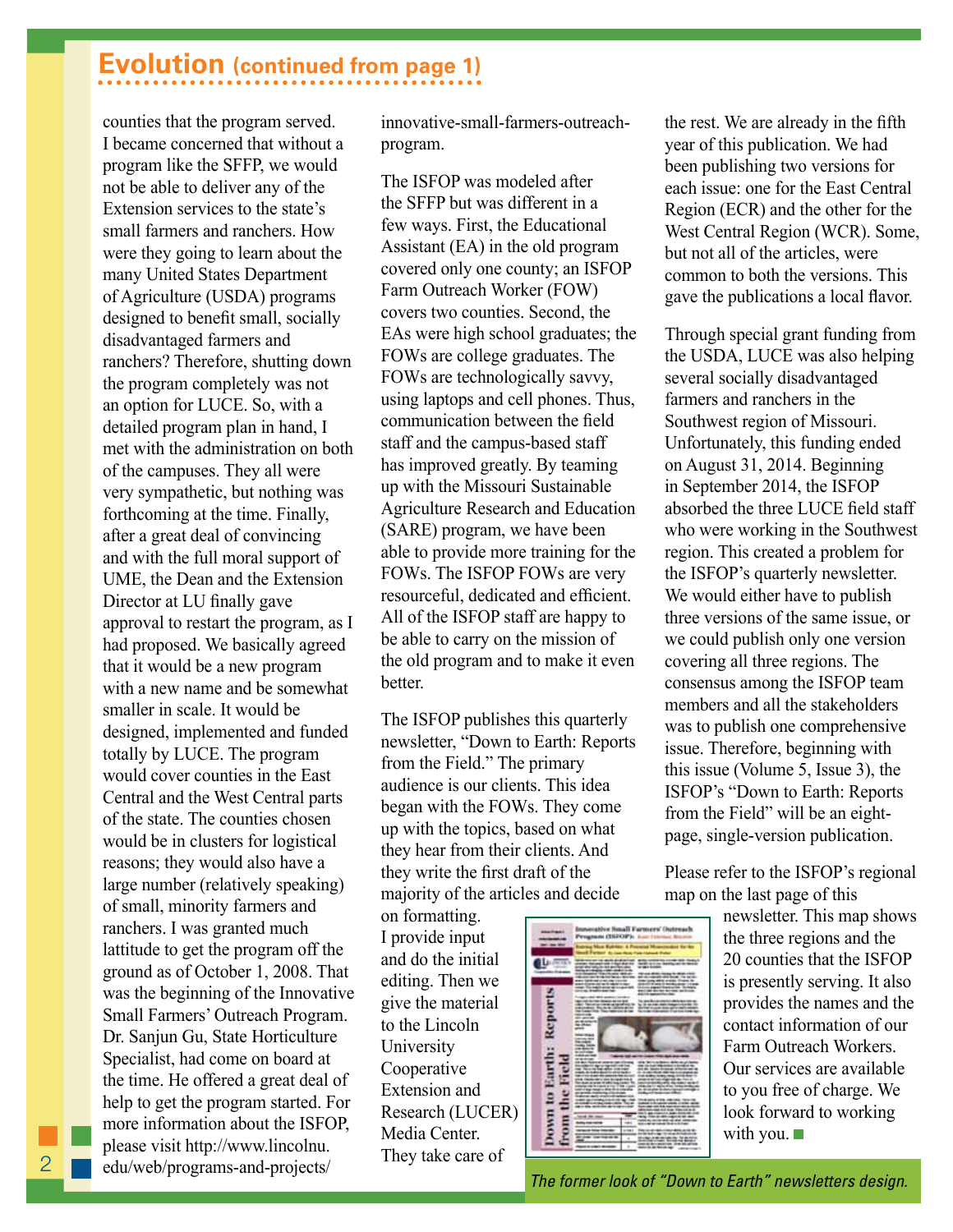### **Evolution (continued from page 1)**

counties that the program served. I became concerned that without a program like the SFFP, we would not be able to deliver any of the Extension services to the state's small farmers and ranchers. How were they going to learn about the many United States Department of Agriculture (USDA) programs designed to benefit small, socially disadvantaged farmers and ranchers? Therefore, shutting down the program completely was not an option for LUCE. So, with a detailed program plan in hand, I met with the administration on both of the campuses. They all were very sympathetic, but nothing was forthcoming at the time. Finally, after a great deal of convincing and with the full moral support of UME, the Dean and the Extension Director at LU finally gave approval to restart the program, as I had proposed. We basically agreed that it would be a new program with a new name and be somewhat smaller in scale. It would be designed, implemented and funded totally by LUCE. The program would cover counties in the East Central and the West Central parts of the state. The counties chosen would be in clusters for logistical reasons; they would also have a large number (relatively speaking) of small, minority farmers and ranchers. I was granted much lattitude to get the program off the ground as of October 1, 2008. That was the beginning of the Innovative Small Farmers' Outreach Program. Dr. Sanjun Gu, State Horticulture Specialist, had come on board at the time. He offered a great deal of help to get the program started. For more information about the ISFOP, please visit http://www.lincolnu. edu/web/programs-and-projects/

innovative-small-farmers-outreachprogram.

The ISFOP was modeled after the SFFP but was different in a few ways. First, the Educational Assistant (EA) in the old program covered only one county; an ISFOP Farm Outreach Worker (FOW) covers two counties. Second, the EAs were high school graduates; the FOWs are college graduates. The FOWs are technologically savvy, using laptops and cell phones. Thus, communication between the field staff and the campus-based staff has improved greatly. By teaming up with the Missouri Sustainable Agriculture Research and Education (SARE) program, we have been able to provide more training for the FOWs. The ISFOP FOWs are very resourceful, dedicated and efficient. All of the ISFOP staff are happy to be able to carry on the mission of the old program and to make it even **better** 

The ISFOP publishes this quarterly newsletter, "Down to Earth: Reports from the Field." The primary audience is our clients. This idea began with the FOWs. They come up with the topics, based on what they hear from their clients. And they write the first draft of the majority of the articles and decide

on formatting. I provide input and do the initial editing. Then we give the material to the Lincoln University Cooperative Extension and Research (LUCER) Media Center. They take care of



the rest. We are already in the fifth year of this publication. We had been publishing two versions for each issue: one for the East Central Region (ECR) and the other for the West Central Region (WCR). Some, but not all of the articles, were common to both the versions. This gave the publications a local flavor.

Through special grant funding from the USDA, LUCE was also helping several socially disadvantaged farmers and ranchers in the Southwest region of Missouri. Unfortunately, this funding ended on August 31, 2014. Beginning in September 2014, the ISFOP absorbed the three LUCE field staff who were working in the Southwest region. This created a problem for the ISFOP's quarterly newsletter. We would either have to publish three versions of the same issue, or we could publish only one version covering all three regions. The consensus among the ISFOP team members and all the stakeholders was to publish one comprehensive issue. Therefore, beginning with this issue (Volume 5, Issue 3), the ISFOP's "Down to Earth: Reports from the Field" will be an eightpage, single-version publication.

Please refer to the ISFOP's regional map on the last page of this

> newsletter. This map shows the three regions and the 20 counties that the ISFOP is presently serving. It also provides the names and the contact information of our Farm Outreach Workers. Our services are available to you free of charge. We look forward to working with you.  $\blacksquare$

*The former look of "Down to Earth" newsletters design.*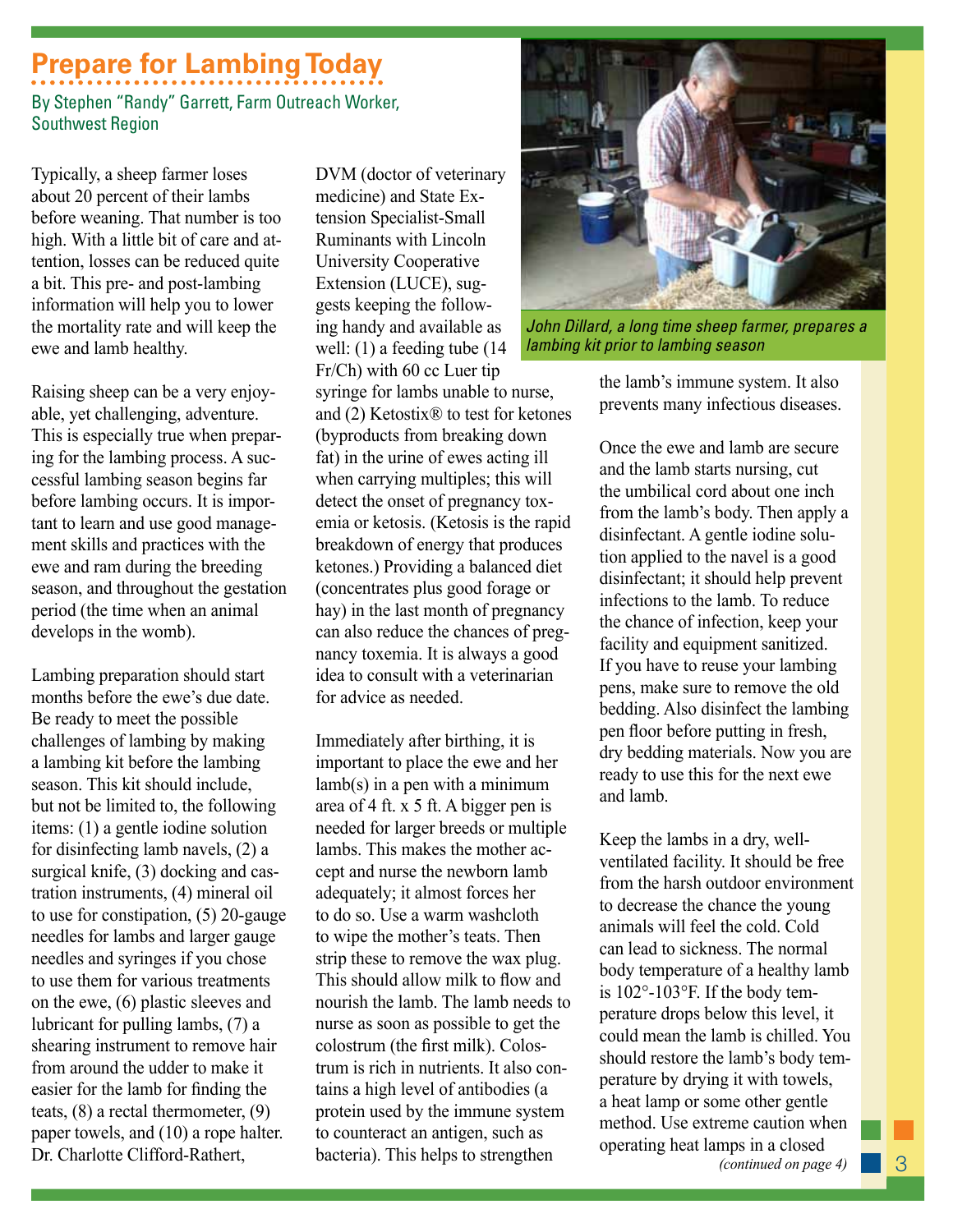### **Prepare for Lambing Today**

By Stephen "Randy" Garrett, Farm Outreach Worker, Southwest Region

Typically, a sheep farmer loses about 20 percent of their lambs before weaning. That number is too high. With a little bit of care and attention, losses can be reduced quite a bit. This pre- and post-lambing information will help you to lower the mortality rate and will keep the ewe and lamb healthy.

Raising sheep can be a very enjoyable, yet challenging, adventure. This is especially true when preparing for the lambing process. A successful lambing season begins far before lambing occurs. It is important to learn and use good management skills and practices with the ewe and ram during the breeding season, and throughout the gestation period (the time when an animal develops in the womb).

Lambing preparation should start months before the ewe's due date. Be ready to meet the possible challenges of lambing by making a lambing kit before the lambing season. This kit should include, but not be limited to, the following items: (1) a gentle iodine solution for disinfecting lamb navels, (2) a surgical knife, (3) docking and castration instruments, (4) mineral oil to use for constipation, (5) 20-gauge needles for lambs and larger gauge needles and syringes if you chose to use them for various treatments on the ewe, (6) plastic sleeves and lubricant for pulling lambs, (7) a shearing instrument to remove hair from around the udder to make it easier for the lamb for finding the teats, (8) a rectal thermometer, (9) paper towels, and (10) a rope halter. Dr. Charlotte Clifford-Rathert,

DVM (doctor of veterinary medicine) and State Extension Specialist-Small Ruminants with Lincoln University Cooperative Extension (LUCE), suggests keeping the following handy and available as well: (1) a feeding tube (14 Fr/Ch) with 60 cc Luer tip

syringe for lambs unable to nurse, and (2) Ketostix® to test for ketones (byproducts from breaking down fat) in the urine of ewes acting ill when carrying multiples; this will detect the onset of pregnancy toxemia or ketosis. (Ketosis is the rapid breakdown of energy that produces ketones.) Providing a balanced diet (concentrates plus good forage or hay) in the last month of pregnancy can also reduce the chances of pregnancy toxemia. It is always a good idea to consult with a veterinarian for advice as needed.

Immediately after birthing, it is important to place the ewe and her lamb(s) in a pen with a minimum area of 4 ft. x 5 ft. A bigger pen is needed for larger breeds or multiple lambs. This makes the mother accept and nurse the newborn lamb adequately; it almost forces her to do so. Use a warm washcloth to wipe the mother's teats. Then strip these to remove the wax plug. This should allow milk to flow and nourish the lamb. The lamb needs to nurse as soon as possible to get the colostrum (the first milk). Colostrum is rich in nutrients. It also contains a high level of antibodies (a protein used by the immune system to counteract an antigen, such as bacteria). This helps to strengthen



John Dillard, a long time sheep farmer, prepares a *lambing kit prior to lambing season* 

the lamb's immune system. It also prevents many infectious diseases.

Once the ewe and lamb are secure and the lamb starts nursing, cut the umbilical cord about one inch from the lamb's body. Then apply a disinfectant. A gentle iodine solution applied to the navel is a good disinfectant; it should help prevent infections to the lamb. To reduce the chance of infection, keep your facility and equipment sanitized. If you have to reuse your lambing pens, make sure to remove the old bedding. Also disinfect the lambing pen floor before putting in fresh, dry bedding materials. Now you are ready to use this for the next ewe and lamb.

Keep the lambs in a dry, wellventilated facility. It should be free from the harsh outdoor environment to decrease the chance the young animals will feel the cold. Cold can lead to sickness. The normal body temperature of a healthy lamb is 102°-103°F. If the body temperature drops below this level, it could mean the lamb is chilled. You should restore the lamb's body temperature by drying it with towels, a heat lamp or some other gentle method. Use extreme caution when operating heat lamps in a closed *(continued on page 4)*

3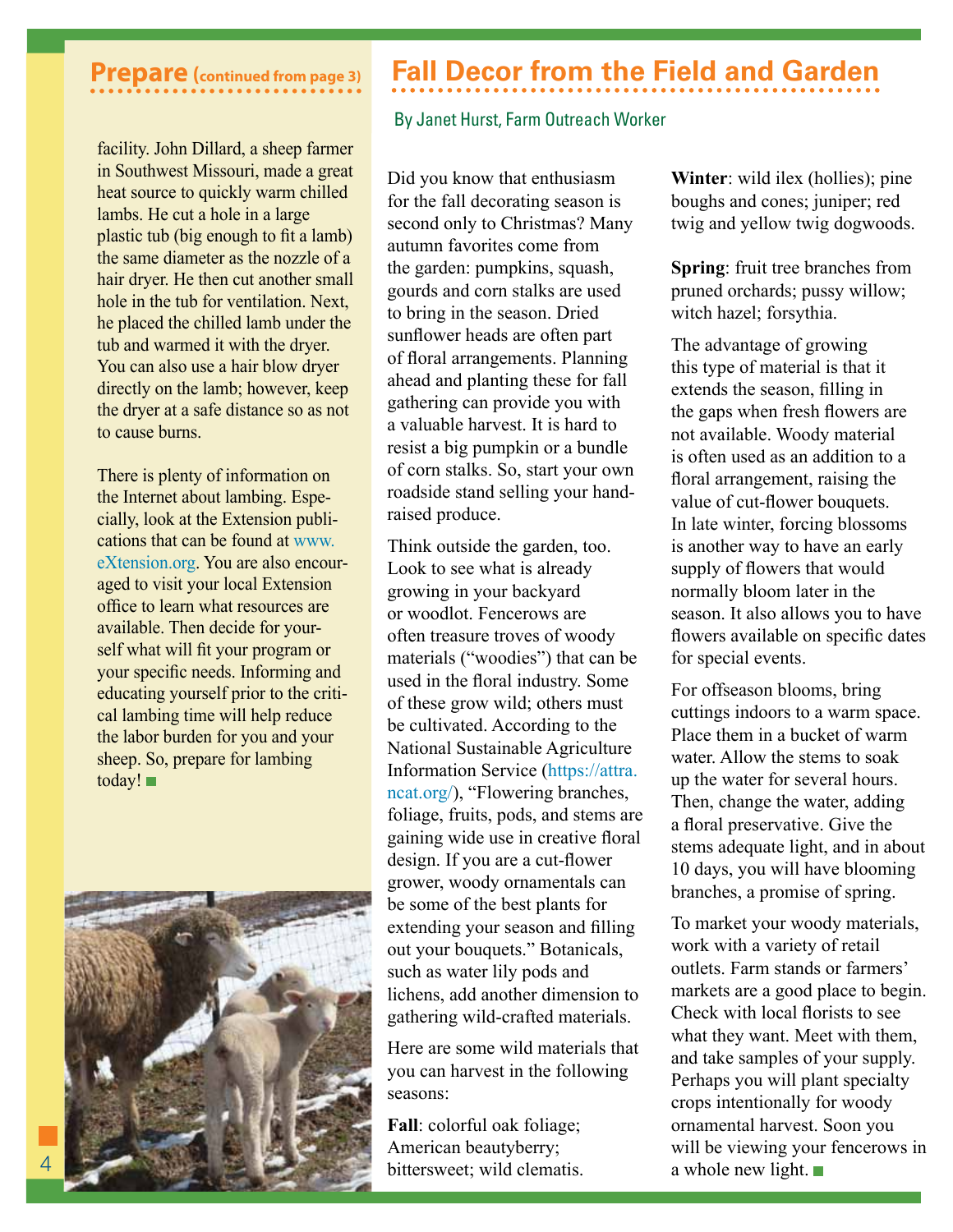facility. John Dillard, a sheep farmer in Southwest Missouri, made a great heat source to quickly warm chilled lambs. He cut a hole in a large plastic tub (big enough to fit a lamb) the same diameter as the nozzle of a hair dryer. He then cut another small hole in the tub for ventilation. Next, he placed the chilled lamb under the tub and warmed it with the dryer. You can also use a hair blow dryer directly on the lamb; however, keep the dryer at a safe distance so as not to cause burns.

There is plenty of information on the Internet about lambing. Especially, look at the Extension publications that can be found at www. eXtension.org. You are also encouraged to visit your local Extension office to learn what resources are available. Then decide for yourself what will fit your program or your specific needs. Informing and educating yourself prior to the critical lambing time will help reduce the labor burden for you and your sheep. So, prepare for lambing today!



### **Prepare (continued from page 3) Fall Decor from the Field and Garden**

#### By Janet Hurst, Farm Outreach Worker

Did you know that enthusiasm for the fall decorating season is second only to Christmas? Many autumn favorites come from the garden: pumpkins, squash, gourds and corn stalks are used to bring in the season. Dried sunflower heads are often part of floral arrangements. Planning ahead and planting these for fall gathering can provide you with a valuable harvest. It is hard to resist a big pumpkin or a bundle of corn stalks. So, start your own roadside stand selling your handraised produce.

Think outside the garden, too. Look to see what is already growing in your backyard or woodlot. Fencerows are often treasure troves of woody materials ("woodies") that can be used in the floral industry. Some of these grow wild; others must be cultivated. According to the National Sustainable Agriculture Information Service (https://attra. ncat.org/), "Flowering branches, foliage, fruits, pods, and stems are gaining wide use in creative floral design. If you are a cut-flower grower, woody ornamentals can be some of the best plants for extending your season and filling out your bouquets." Botanicals, such as water lily pods and lichens, add another dimension to gathering wild-crafted materials.

Here are some wild materials that you can harvest in the following seasons:

**Fall**: colorful oak foliage; American beautyberry; bittersweet; wild clematis. **Winter**: wild ilex (hollies); pine boughs and cones; juniper; red twig and yellow twig dogwoods.

**Spring**: fruit tree branches from pruned orchards; pussy willow; witch hazel; forsythia.

The advantage of growing this type of material is that it extends the season, filling in the gaps when fresh flowers are not available. Woody material is often used as an addition to a floral arrangement, raising the value of cut-flower bouquets. In late winter, forcing blossoms is another way to have an early supply of flowers that would normally bloom later in the season. It also allows you to have flowers available on specific dates for special events.

For offseason blooms, bring cuttings indoors to a warm space. Place them in a bucket of warm water. Allow the stems to soak up the water for several hours. Then, change the water, adding a floral preservative. Give the stems adequate light, and in about 10 days, you will have blooming branches, a promise of spring.

To market your woody materials, work with a variety of retail outlets. Farm stands or farmers' markets are a good place to begin. Check with local florists to see what they want. Meet with them, and take samples of your supply. Perhaps you will plant specialty crops intentionally for woody ornamental harvest. Soon you will be viewing your fencerows in a whole new light.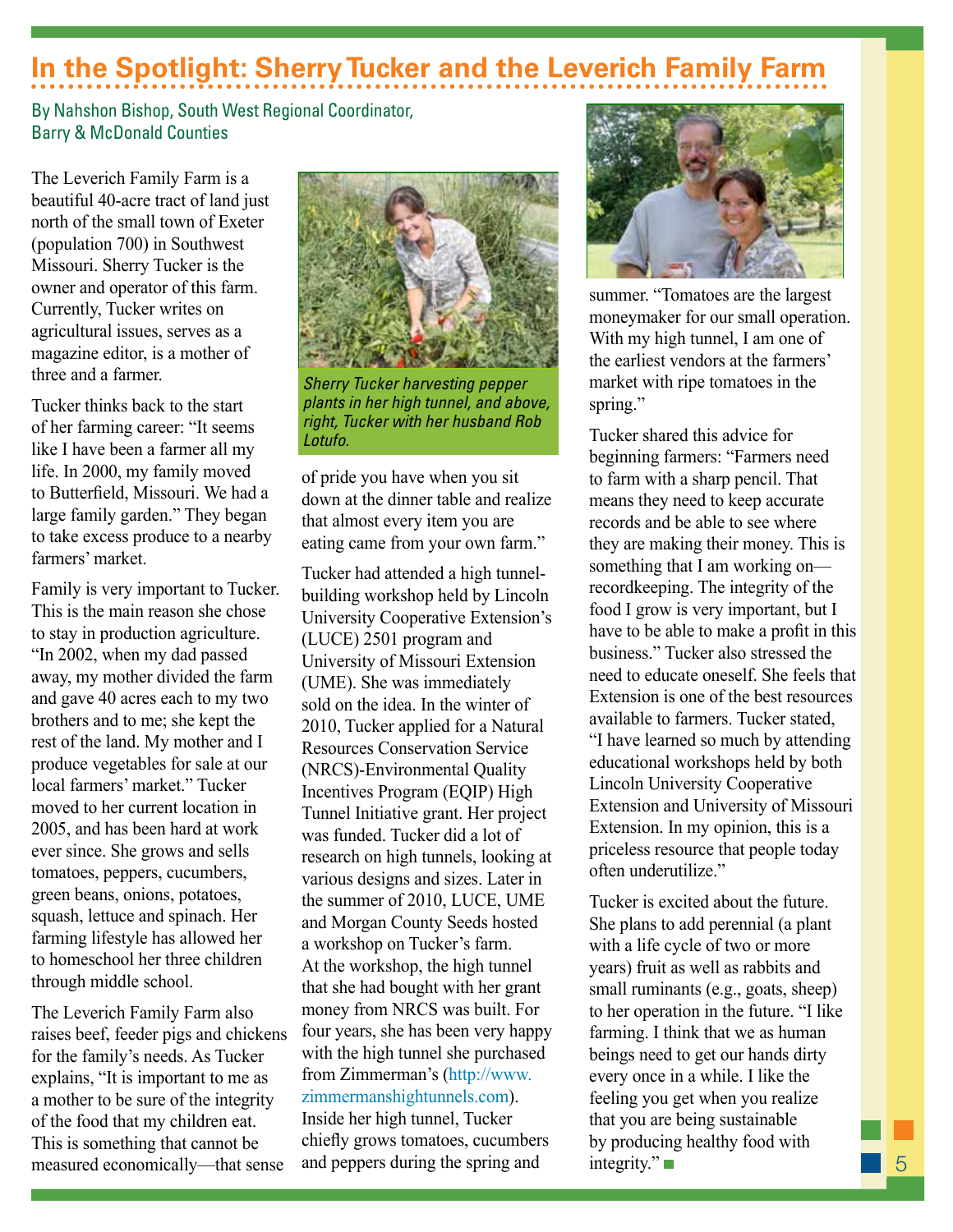### **In the Spotlight: Sherry Tucker and the Leverich Family Farm**

#### By Nahshon Bishop, South West Regional Coordinator, Barry & McDonald Counties

The Leverich Family Farm is a beautiful 40-acre tract of land just north of the small town of Exeter (population 700) in Southwest Missouri. Sherry Tucker is the owner and operator of this farm. Currently, Tucker writes on agricultural issues, serves as a magazine editor, is a mother of three and a farmer.

Tucker thinks back to the start of her farming career: "It seems like I have been a farmer all my life. In 2000, my family moved to Butterfield, Missouri. We had a large family garden." They began to take excess produce to a nearby farmers' market.

Family is very important to Tucker. This is the main reason she chose to stay in production agriculture. "In 2002, when my dad passed away, my mother divided the farm and gave 40 acres each to my two brothers and to me; she kept the rest of the land. My mother and I produce vegetables for sale at our local farmers' market." Tucker moved to her current location in 2005, and has been hard at work ever since. She grows and sells tomatoes, peppers, cucumbers, green beans, onions, potatoes, squash, lettuce and spinach. Her farming lifestyle has allowed her to homeschool her three children through middle school.

The Leverich Family Farm also raises beef, feeder pigs and chickens for the family's needs. As Tucker explains, "It is important to me as a mother to be sure of the integrity of the food that my children eat. This is something that cannot be measured economically—that sense



**Sherry Tucker harvesting pepper** *plants in her high tunnel, and above, right, Tucker with her husband Rob Lotufo.*

of pride you have when you sit down at the dinner table and realize that almost every item you are eating came from your own farm."

Tucker had attended a high tunnelbuilding workshop held by Lincoln University Cooperative Extension's (LUCE) 2501 program and University of Missouri Extension (UME). She was immediately sold on the idea. In the winter of 2010, Tucker applied for a Natural Resources Conservation Service (NRCS)-Environmental Quality Incentives Program (EQIP) High Tunnel Initiative grant. Her project was funded. Tucker did a lot of research on high tunnels, looking at various designs and sizes. Later in the summer of 2010, LUCE, UME and Morgan County Seeds hosted a workshop on Tucker's farm. At the workshop, the high tunnel that she had bought with her grant money from NRCS was built. For four years, she has been very happy with the high tunnel she purchased from Zimmerman's (http://www. zimmermanshightunnels.com). Inside her high tunnel, Tucker

chiefly grows tomatoes, cucumbers and peppers during the spring and



summer. "Tomatoes are the largest moneymaker for our small operation. With my high tunnel, I am one of the earliest vendors at the farmers' market with ripe tomatoes in the spring."

Tucker shared this advice for beginning farmers: "Farmers need to farm with a sharp pencil. That means they need to keep accurate records and be able to see where they are making their money. This is something that I am working on recordkeeping. The integrity of the food I grow is very important, but I have to be able to make a profit in this business." Tucker also stressed the need to educate oneself. She feels that Extension is one of the best resources available to farmers. Tucker stated, "I have learned so much by attending educational workshops held by both Lincoln University Cooperative Extension and University of Missouri Extension. In my opinion, this is a priceless resource that people today often underutilize."

Tucker is excited about the future. She plans to add perennial (a plant with a life cycle of two or more years) fruit as well as rabbits and small ruminants (e.g., goats, sheep) to her operation in the future. "I like farming. I think that we as human beings need to get our hands dirty every once in a while. I like the feeling you get when you realize that you are being sustainable by producing healthy food with integrity."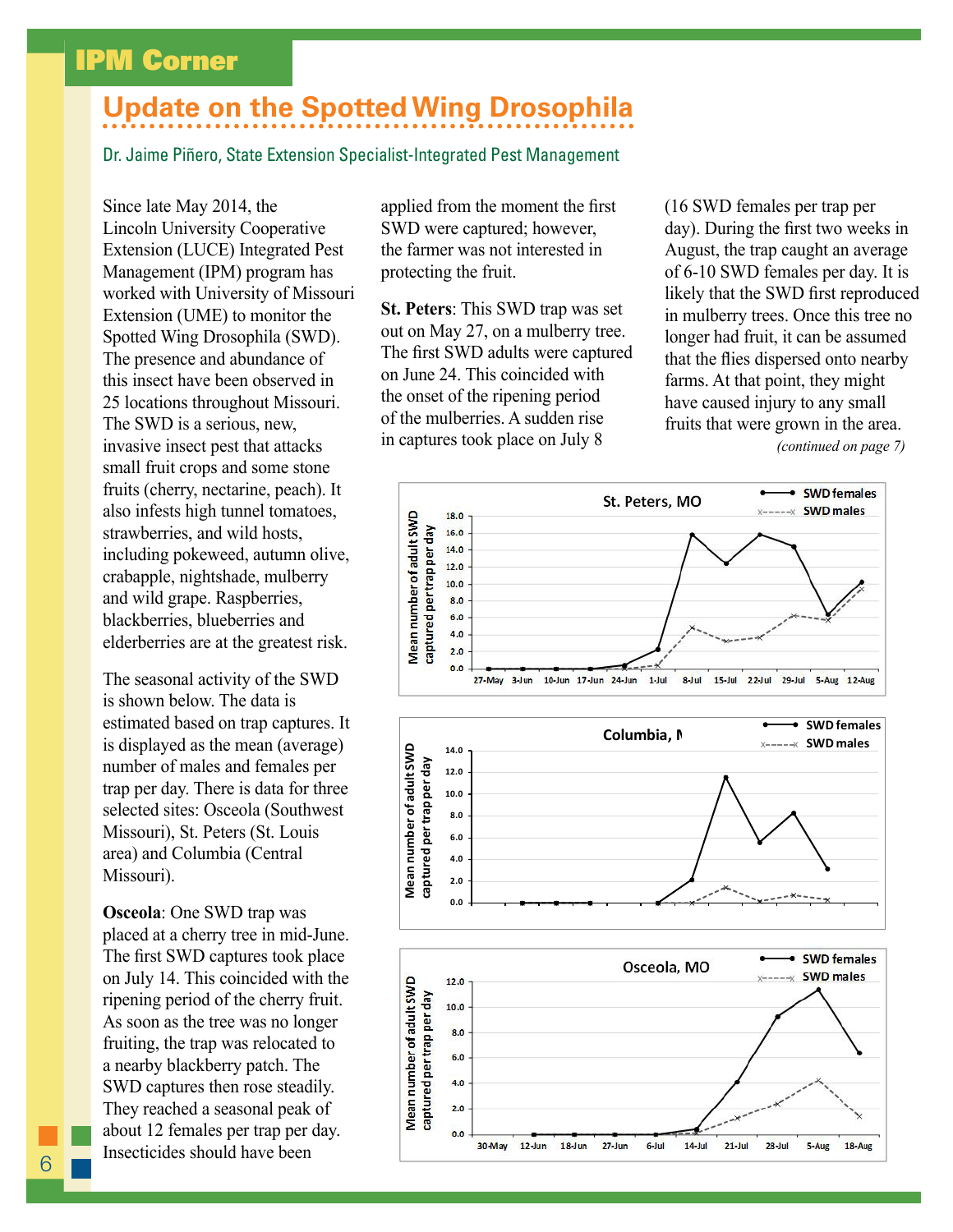### IPM Corner

### **Update on the Spotted Wing Drosophila**

Dr. Jaime Piñero, State Extension Specialist-Integrated Pest Management

Since late May 2014, the Lincoln University Cooperative Extension (LUCE) Integrated Pest Management (IPM) program has worked with University of Missouri Extension (UME) to monitor the Spotted Wing Drosophila (SWD). The presence and abundance of this insect have been observed in 25 locations throughout Missouri. The SWD is a serious, new, invasive insect pest that attacks small fruit crops and some stone fruits (cherry, nectarine, peach). It also infests high tunnel tomatoes, strawberries, and wild hosts, including pokeweed, autumn olive, crabapple, nightshade, mulberry and wild grape. Raspberries, blackberries, blueberries and elderberries are at the greatest risk.

The seasonal activity of the SWD is shown below. The data is estimated based on trap captures. It is displayed as the mean (average) number of males and females per trap per day. There is data for three selected sites: Osceola (Southwest Missouri), St. Peters (St. Louis area) and Columbia (Central Missouri).

**Osceola**: One SWD trap was placed at a cherry tree in mid-June. The first SWD captures took place on July 14. This coincided with the ripening period of the cherry fruit. As soon as the tree was no longer fruiting, the trap was relocated to a nearby blackberry patch. The SWD captures then rose steadily. They reached a seasonal peak of about 12 females per trap per day. Insecticides should have been

applied from the moment the first SWD were captured; however, the farmer was not interested in protecting the fruit.

**St. Peters**: This SWD trap was set out on May 27, on a mulberry tree. The first SWD adults were captured on June 24. This coincided with the onset of the ripening period of the mulberries. A sudden rise in captures took place on July 8

(16 SWD females per trap per day). During the first two weeks in August, the trap caught an average of 6-10 SWD females per day. It is likely that the SWD first reproduced in mulberry trees. Once this tree no longer had fruit, it can be assumed that the flies dispersed onto nearby farms. At that point, they might have caused injury to any small fruits that were grown in the area. *(continued on page 7)*

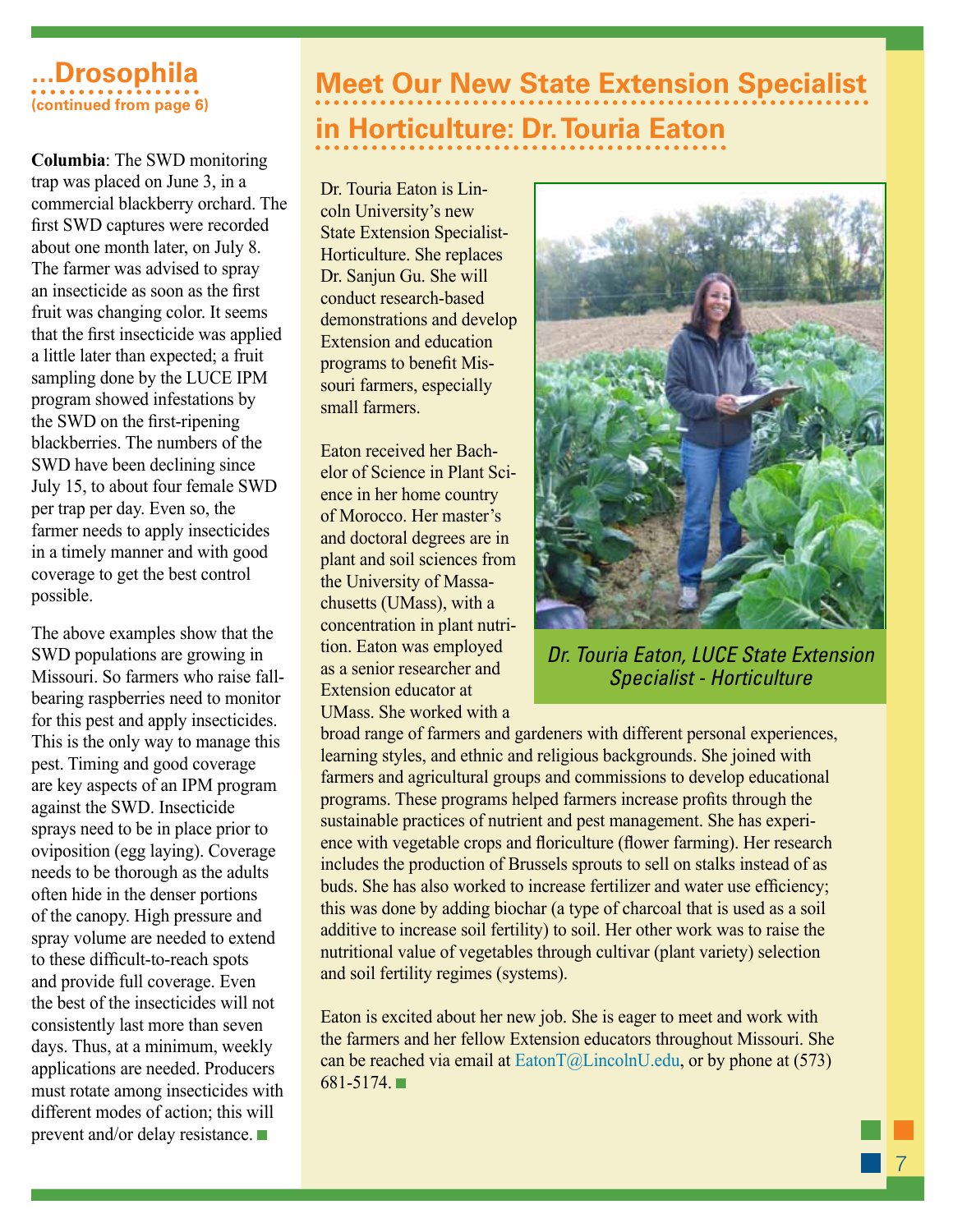### **...Drosophila (continued from page 6)**

**Columbia**: The SWD monitoring trap was placed on June 3, in a commercial blackberry orchard. The first SWD captures were recorded about one month later, on July 8. The farmer was advised to spray an insecticide as soon as the first fruit was changing color. It seems that the first insecticide was applied a little later than expected; a fruit sampling done by the LUCE IPM program showed infestations by the SWD on the first-ripening blackberries. The numbers of the SWD have been declining since July 15, to about four female SWD per trap per day. Even so, the farmer needs to apply insecticides in a timely manner and with good coverage to get the best control possible.

The above examples show that the SWD populations are growing in Missouri. So farmers who raise fallbearing raspberries need to monitor for this pest and apply insecticides. This is the only way to manage this pest. Timing and good coverage are key aspects of an IPM program against the SWD. Insecticide sprays need to be in place prior to oviposition (egg laying). Coverage needs to be thorough as the adults often hide in the denser portions of the canopy. High pressure and spray volume are needed to extend to these difficult-to-reach spots and provide full coverage. Even the best of the insecticides will not consistently last more than seven days. Thus, at a minimum, weekly applications are needed. Producers must rotate among insecticides with different modes of action; this will prevent and/or delay resistance.

## **Meet Our New State Extension Specialist in Horticulture: Dr. Touria Eaton**

Dr. Touria Eaton is Lincoln University's new State Extension Specialist-Horticulture. She replaces Dr. Sanjun Gu. She will conduct research-based demonstrations and develop Extension and education programs to benefit Missouri farmers, especially small farmers.

Eaton received her Bachelor of Science in Plant Science in her home country of Morocco. Her master's and doctoral degrees are in plant and soil sciences from the University of Massachusetts (UMass), with a concentration in plant nutrition. Eaton was employed as a senior researcher and Extension educator at UMass. She worked with a



**Dr. Touria Eaton, LUCE State Extension**  $S$ pecialist - Horticulture

broad range of farmers and gardeners with different personal experiences, learning styles, and ethnic and religious backgrounds. She joined with farmers and agricultural groups and commissions to develop educational programs. These programs helped farmers increase profits through the sustainable practices of nutrient and pest management. She has experience with vegetable crops and floriculture (flower farming). Her research includes the production of Brussels sprouts to sell on stalks instead of as buds. She has also worked to increase fertilizer and water use efficiency; this was done by adding biochar (a type of charcoal that is used as a soil additive to increase soil fertility) to soil. Her other work was to raise the nutritional value of vegetables through cultivar (plant variety) selection and soil fertility regimes (systems).

Eaton is excited about her new job. She is eager to meet and work with the farmers and her fellow Extension educators throughout Missouri. She can be reached via email at  $E_{\text{atom}}(a)$ *LincolnU.edu, or by phone at (573)* 681-5174